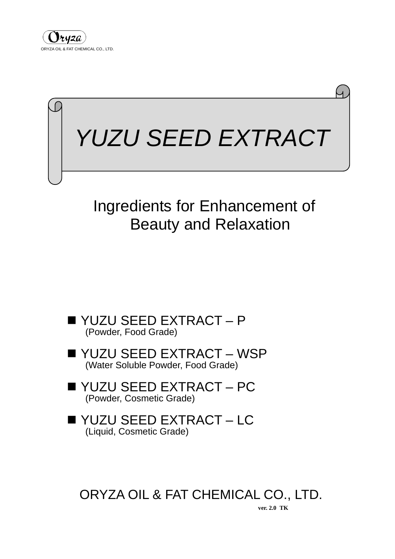



# Ingredients for Enhancement of Beauty and Relaxation

- YUZU SEED EXTRACT P<br>(Powder, Food Grade)
- YUZU SEED EXTRACT WSP (Water Soluble Powder, Food Grade)
- YUZU SEED EXTRACT PC<br>(Powder, Cosmetic Grade)
- YUZU SEED EXTRACT LC<br>(Liquid, Cosmetic Grade)

ORYZA OIL & FAT CHEMICAL CO., LTD.

**ver. 2.0 TK**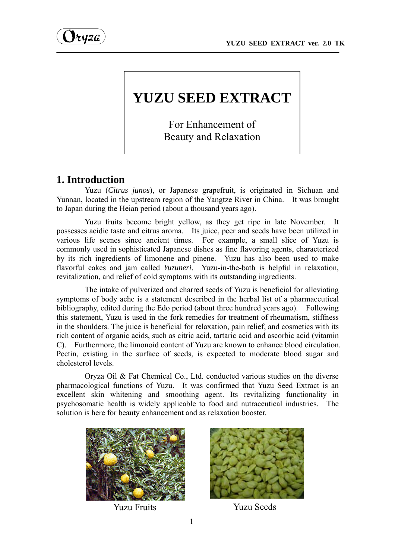

# **YUZU SEED EXTRACT**

For Enhancement of Beauty and Relaxation

# **1. Introduction**

Yuzu (*Citrus junos*), or Japanese grapefruit, is originated in Sichuan and Yunnan, located in the upstream region of the Yangtze River in China. It was brought to Japan during the Heian period (about a thousand years ago).

Yuzu fruits become bright yellow, as they get ripe in late November. It possesses acidic taste and citrus aroma. Its juice, peer and seeds have been utilized in various life scenes since ancient times. For example, a small slice of Yuzu is commonly used in sophisticated Japanese dishes as fine flavoring agents, characterized by its rich ingredients of limonene and pinene. Yuzu has also been used to make flavorful cakes and jam called *Yuzuneri*. Yuzu-in-the-bath is helpful in relaxation, revitalization, and relief of cold symptoms with its outstanding ingredients.

The intake of pulverized and charred seeds of Yuzu is beneficial for alleviating symptoms of body ache is a statement described in the herbal list of a pharmaceutical bibliography, edited during the Edo period (about three hundred years ago). Following this statement, Yuzu is used in the fork remedies for treatment of rheumatism, stiffness in the shoulders. The juice is beneficial for relaxation, pain relief, and cosmetics with its rich content of organic acids, such as citric acid, tartaric acid and ascorbic acid (vitamin C). Furthermore, the limonoid content of Yuzu are known to enhance blood circulation. Pectin, existing in the surface of seeds, is expected to moderate blood sugar and cholesterol levels.

Oryza Oil & Fat Chemical Co., Ltd. conducted various studies on the diverse pharmacological functions of Yuzu. It was confirmed that Yuzu Seed Extract is an excellent skin whitening and smoothing agent. Its revitalizing functionality in psychosomatic health is widely applicable to food and nutraceutical industries. The solution is here for beauty enhancement and as relaxation booster.





Yuzu Fruits Yuzu Seeds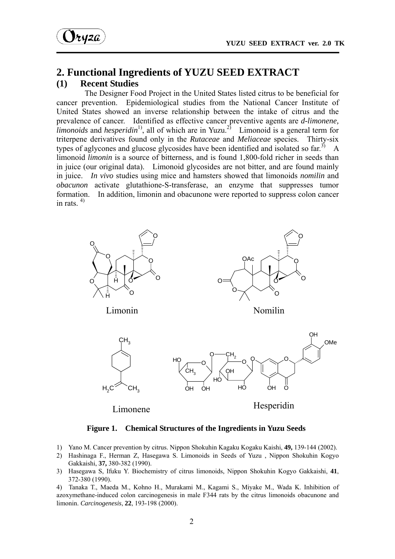

#### **2. Functional Ingredients of YUZU SEED EXTRACT (1) Recent Studies**

 The Designer Food Project in the United States listed citrus to be beneficial for cancer prevention. Epidemiological studies from the National Cancer Institute of United States showed an inverse relationship between the intake of citrus and the prevalence of cancer. Identified as effective cancer preventive agents are *d-limonene,*   $\lim_{h \to 0}$  *limonoids* and *hesperidin*<sup>1</sup>, all of which are in Yuzu.<sup>2)</sup> Limonoid is a general term for triterpene derivatives found only in the *Rutaceae* and *Meliaceae* species. Thirty-six types of aglycones and glucose glycosides have been identified and isolated so far.<sup>3)</sup> A limonoid *limonin* is a source of bitterness, and is found 1,800-fold richer in seeds than in juice (our original data). Limonoid glycosides are not bitter, and are found mainly in juice. *In vivo* studies using mice and hamsters showed that limonoids *nomilin* and *obacunon* activate glutathione-S-transferase, an enzyme that suppresses tumor formation. In addition, limonin and obacunone were reported to suppress colon cancer in rats.  $4)$ 



**Figure 1. Chemical Structures of the Ingredients in Yuzu Seeds** 

- 1) Yano M. Cancer prevention by citrus. Nippon Shokuhin Kagaku Kogaku Kaishi, **49,** 139-144 (2002).
- 2) Hashinaga F., Herman Z, Hasegawa S. Limonoids in Seeds of Yuzu , Nippon Shokuhin Kogyo Gakkaishi, **37,** 380-382 (1990).
- 3) Hasegawa S, Ifuku Y. Biochemistry of citrus limonoids, Nippon Shokuhin Kogyo Gakkaishi, **41**, 372-380 (1990).

4) Tanaka T., Maeda M., Kohno H., Murakami M., Kagami S., Miyake M., Wada K. Inhibition of azoxymethane-induced colon carcinogenesis in male F344 rats by the citrus limonoids obacunone and limonin. *Carcinogenesis*, **22**, 193-198 (2000).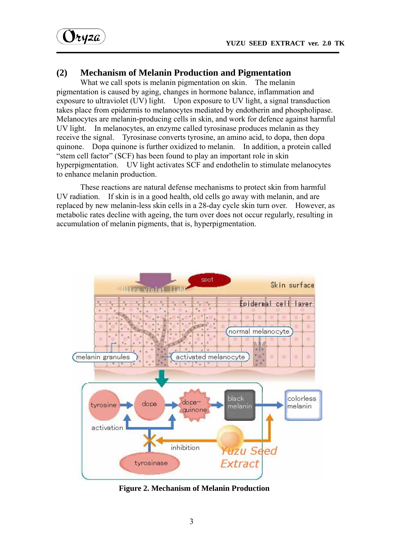$Vt$ 42 $a$ 

#### **(2) Mechanism of Melanin Production and Pigmentation**

What we call spots is melanin pigmentation on skin. The melanin pigmentation is caused by aging, changes in hormone balance, inflammation and exposure to ultraviolet (UV) light. Upon exposure to UV light, a signal transduction takes place from epidermis to melanocytes mediated by endotherin and phospholipase. Melanocytes are melanin-producing cells in skin, and work for defence against harmful UV light. In melanocytes, an enzyme called tyrosinase produces melanin as they receive the signal. Tyrosinase converts tyrosine, an amino acid, to dopa, then dopa quinone. Dopa quinone is further oxidized to melanin. In addition, a protein called "stem cell factor" (SCF) has been found to play an important role in skin hyperpigmentation. UV light activates SCF and endothelin to stimulate melanocytes to enhance melanin production.

These reactions are natural defense mechanisms to protect skin from harmful UV radiation. If skin is in a good health, old cells go away with melanin, and are replaced by new melanin-less skin cells in a 28-day cycle skin turn over. However, as metabolic rates decline with ageing, the turn over does not occur regularly, resulting in accumulation of melanin pigments, that is, hyperpigmentation.



**Figure 2. Mechanism of Melanin Production**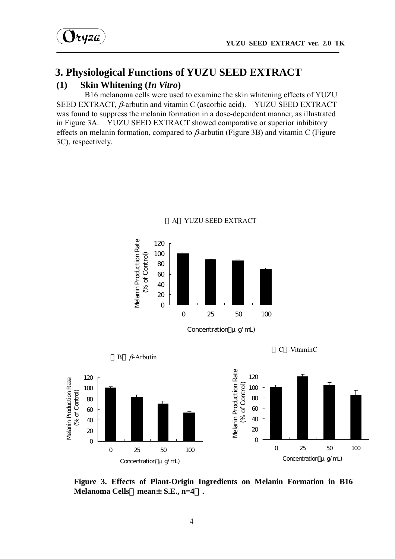# **3. Physiological Functions of YUZU SEED EXTRACT**

#### **(1) Skin Whitening (***In Vitro***)**

 B16 melanoma cells were used to examine the skin whitening effects of YUZU SEED EXTRACT, β-arbutin and vitamin C (ascorbic acid). YUZU SEED EXTRACT was found to suppress the melanin formation in a dose-dependent manner, as illustrated in Figure 3A. YUZU SEED EXTRACT showed comparative or superior inhibitory effects on melanin formation, compared to  $\beta$ -arbutin (Figure 3B) and vitamin C (Figure 3C), respectively.



**Figure 3. Effects of Plant-Origin Ingredients on Melanin Formation in B16 Melanoma Cells**(**mean**±**S.E., n=4**)**.**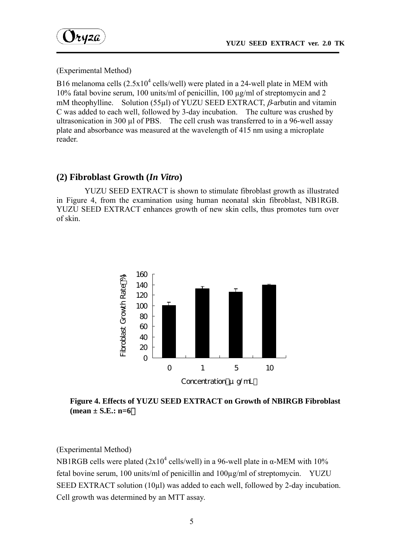

(Experimental Method)

B16 melanoma cells  $(2.5x10^4 \text{ cells/well})$  were plated in a 24-well plate in MEM with 10% fatal bovine serum, 100 units/ml of penicillin, 100 µg/ml of streptomycin and 2 mM theophylline. Solution (55µl) of YUZU SEED EXTRACT,  $\beta$ -arbutin and vitamin C was added to each well, followed by 3-day incubation. The culture was crushed by ultrasonication in 300 µl of PBS. The cell crush was transferred to in a 96-well assay plate and absorbance was measured at the wavelength of 415 nm using a microplate reader.

#### **(2) Fibroblast Growth (***In Vitro***)**

YUZU SEED EXTRACT is shown to stimulate fibroblast growth as illustrated in Figure 4, from the examination using human neonatal skin fibroblast, NB1RGB. YUZU SEED EXTRACT enhances growth of new skin cells, thus promotes turn over of skin.



**Figure 4. Effects of YUZU SEED EXTRACT on Growth of NBIRGB Fibroblast (mean ± S.E.: n=6**)

(Experimental Method)

NB1RGB cells were plated  $(2x10^4 \text{ cells/well})$  in a 96-well plate in  $\alpha$ -MEM with 10% fetal bovine serum, 100 units/ml of penicillin and 100µg/ml of streptomycin. YUZU SEED EXTRACT solution (10µl) was added to each well, followed by 2-day incubation. Cell growth was determined by an MTT assay.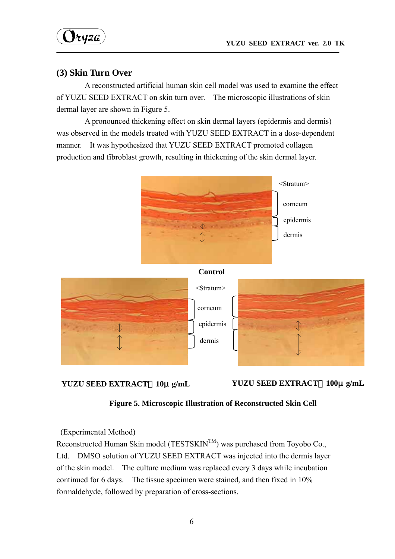$\mathbf{y}_{\text{t} \text{y} \text{z} \text{a}}$ 

#### **(3) Skin Turn Over**

 A reconstructed artificial human skin cell model was used to examine the effect of YUZU SEED EXTRACT on skin turn over. The microscopic illustrations of skin dermal layer are shown in Figure 5.

A pronounced thickening effect on skin dermal layers (epidermis and dermis) was observed in the models treated with YUZU SEED EXTRACT in a dose-dependent manner. It was hypothesized that YUZU SEED EXTRACT promoted collagen production and fibroblast growth, resulting in thickening of the skin dermal layer.





**YUZU SEED EXTRACT**:**10**μ**g/mL YUZU SEED EXTRACT**:**100**μ**g/mL** 

**Figure 5. Microscopic Illustration of Reconstructed Skin Cell** 

(Experimental Method)

Reconstructed Human Skin model (TESTSKIN $^{TM}$ ) was purchased from Toyobo Co., Ltd. DMSO solution of YUZU SEED EXTRACT was injected into the dermis layer of the skin model. The culture medium was replaced every 3 days while incubation continued for 6 days. The tissue specimen were stained, and then fixed in 10% formaldehyde, followed by preparation of cross-sections.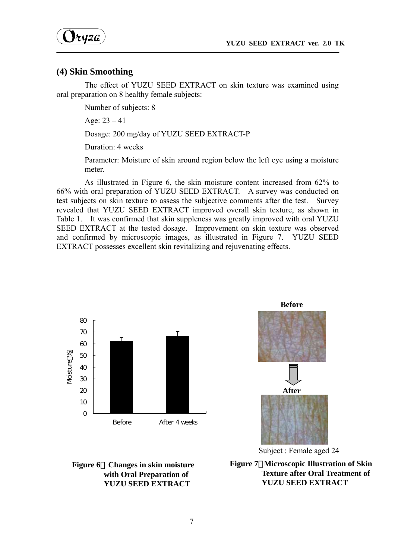

#### **(4) Skin Smoothing**

 The effect of YUZU SEED EXTRACT on skin texture was examined using oral preparation on 8 healthy female subjects:

Number of subjects: 8

Age:  $23 - 41$ 

Dosage: 200 mg/day of YUZU SEED EXTRACT-P

Duration: 4 weeks

Parameter: Moisture of skin around region below the left eye using a moisture meter.

As illustrated in Figure 6, the skin moisture content increased from 62% to 66% with oral preparation of YUZU SEED EXTRACT. A survey was conducted on test subjects on skin texture to assess the subjective comments after the test. Survey revealed that YUZU SEED EXTRACT improved overall skin texture, as shown in Table 1. It was confirmed that skin suppleness was greatly improved with oral YUZU SEED EXTRACT at the tested dosage. Improvement on skin texture was observed and confirmed by microscopic images, as illustrated in Figure 7. YUZU SEED EXTRACT possesses excellent skin revitalizing and rejuvenating effects.







Subject : Female aged 24

**Figure 7**.**Microscopic Illustration of Skin Texture after Oral Treatment of YUZU SEED EXTRACT**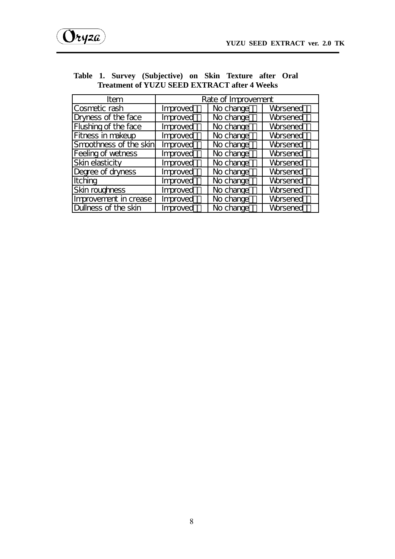| Item                      | Rate of Improvement |           |                 |
|---------------------------|---------------------|-----------|-----------------|
| Cosmetic rash             | Improved            | No change | <b>Worsened</b> |
| Dryness of the face       | Improved            | No change | <b>Worsened</b> |
| Flushing of the face      | Improved            | No change | <b>Worsened</b> |
| Fitness in makeup         | Improved            | No change | <b>Worsened</b> |
| Smoothness of the skin    | Improved            | No change | <b>Worsened</b> |
| <b>Feeling of wetness</b> | Improved            | No change | <b>Worsened</b> |
| <b>Skin elasticity</b>    | Improved            | No change | <b>Worsened</b> |
| Degree of dryness         | Improved            | No change | <b>Worsened</b> |
| Itching                   | Improved            | No change | <b>Worsened</b> |
| Skin roughness            | Improved            | No change | Worsened        |
| Improvement in crease     | Improved            | No change | <b>Worsened</b> |
| Dullness of the skin      | Improved            | No change | <b>Worsened</b> |

#### **Table 1. Survey (Subjective) on Skin Texture after Oral Treatment of YUZU SEED EXTRACT after 4 Weeks**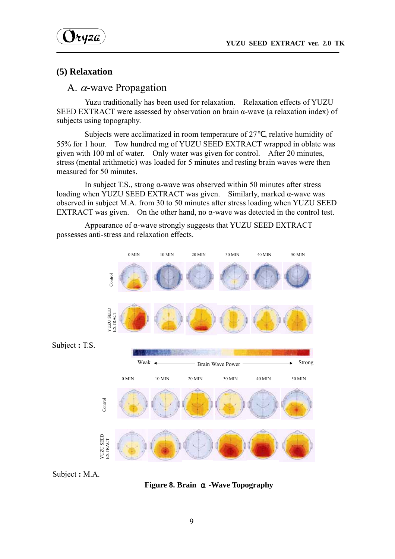$\mathbf{y}_{\text{tyz}a}$ 

#### **(5) Relaxation**

## A. α-wave Propagation

 Yuzu traditionally has been used for relaxation. Relaxation effects of YUZU SEED EXTRACT were assessed by observation on brain α-wave (a relaxation index) of subjects using topography.

Subjects were acclimatized in room temperature of 27 , relative humidity of 55% for 1 hour. Tow hundred mg of YUZU SEED EXTRACT wrapped in oblate was given with 100 ml of water. Only water was given for control. After 20 minutes, stress (mental arithmetic) was loaded for 5 minutes and resting brain waves were then measured for 50 minutes.

In subject T.S., strong α-wave was observed within 50 minutes after stress loading when YUZU SEED EXTRACT was given. Similarly, marked α-wave was observed in subject M.A. from 30 to 50 minutes after stress loading when YUZU SEED EXTRACT was given. On the other hand, no  $\alpha$ -wave was detected in the control test.

Appearance of  $\alpha$ -wave strongly suggests that YUZU SEED EXTRACT possesses anti-stress and relaxation effects.



Subject **:** M.A.

**Figure 8. Brain •Wave Topography**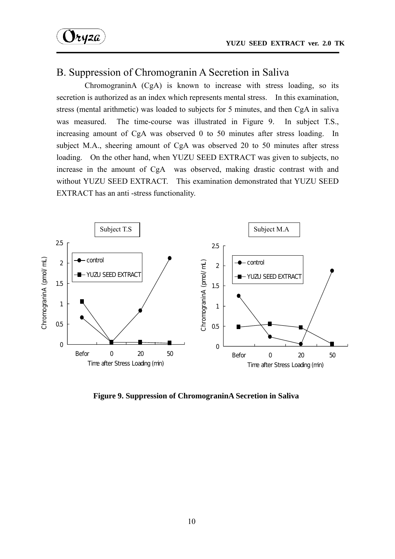$\mathcal{Y}$ ryza

# B. Suppression of Chromogranin A Secretion in Saliva

ChromograninA (CgA) is known to increase with stress loading, so its secretion is authorized as an index which represents mental stress. In this examination, stress (mental arithmetic) was loaded to subjects for 5 minutes, and then CgA in saliva was measured. The time-course was illustrated in Figure 9. In subject T.S., increasing amount of CgA was observed 0 to 50 minutes after stress loading. In subject M.A., sheering amount of CgA was observed 20 to 50 minutes after stress loading. On the other hand, when YUZU SEED EXTRACT was given to subjects, no increase in the amount of CgA was observed, making drastic contrast with and without YUZU SEED EXTRACT. This examination demonstrated that YUZU SEED EXTRACT has an anti -stress functionality.



**Figure 9. Suppression of ChromograninA Secretion in Saliva**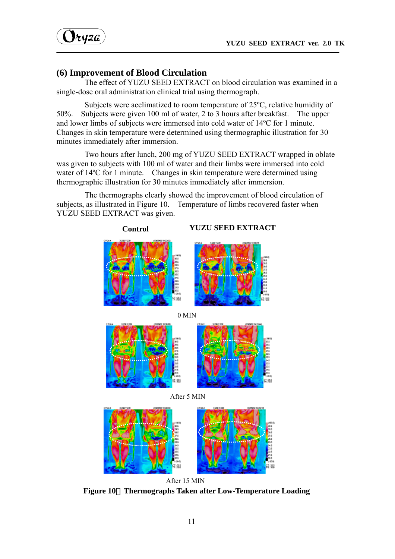$y_{t}y_{z}a$ 

## **(6) Improvement of Blood Circulation**

 The effect of YUZU SEED EXTRACT on blood circulation was examined in a single-dose oral administration clinical trial using thermograph.

 Subjects were acclimatized to room temperature of 25ºC, relative humidity of 50%. Subjects were given 100 ml of water, 2 to 3 hours after breakfast. The upper and lower limbs of subjects were immersed into cold water of 14ºC for 1 minute. Changes in skin temperature were determined using thermographic illustration for 30 minutes immediately after immersion.

 Two hours after lunch, 200 mg of YUZU SEED EXTRACT wrapped in oblate was given to subjects with 100 ml of water and their limbs were immersed into cold water of 14°C for 1 minute. Changes in skin temperature were determined using thermographic illustration for 30 minutes immediately after immersion.

The thermographs clearly showed the improvement of blood circulation of subjects, as illustrated in Figure 10. Temperature of limbs recovered faster when YUZU SEED EXTRACT was given.



**Figure 10**.**Thermographs Taken after Low-Temperature Loading**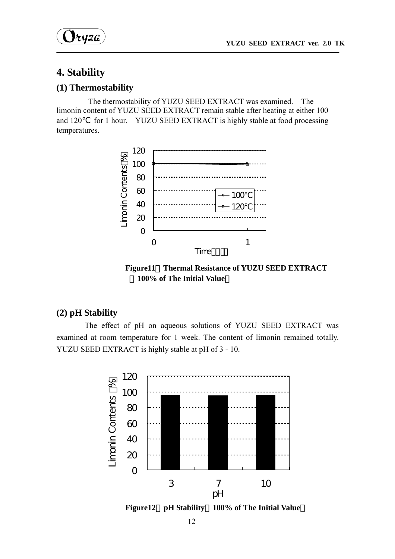

# **4. Stability**

#### **(1) Thermostability**

The thermostability of YUZU SEED EXTRACT was examined. The limonin content of YUZU SEED EXTRACT remain stable after heating at either 100 and 120 for 1 hour. YUZU SEED EXTRACT is highly stable at food processing temperatures.



**Figure11**.**Thermal Resistance of YUZU SEED EXTRACT**  (**100% of The Initial Value**)

## **(2) pH Stability**

 The effect of pH on aqueous solutions of YUZU SEED EXTRACT was examined at room temperature for 1 week. The content of limonin remained totally. YUZU SEED EXTRACT is highly stable at pH of 3 - 10.

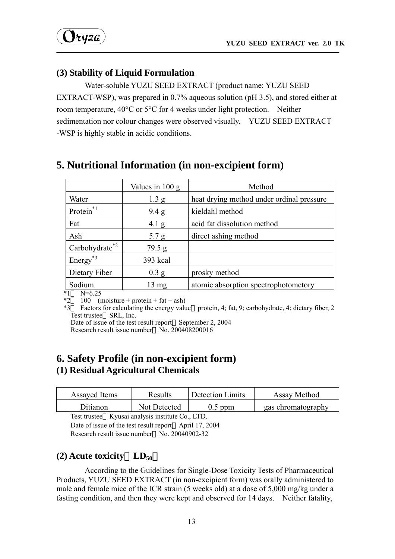

## **(3) Stability of Liquid Formulation**

 Water-soluble YUZU SEED EXTRACT (product name: YUZU SEED EXTRACT-WSP), was prepared in 0.7% aqueous solution (pH 3.5), and stored either at room temperature, 40°C or 5°C for 4 weeks under light protection. Neither sedimentation nor colour changes were observed visually. YUZU SEED EXTRACT -WSP is highly stable in acidic conditions.

|                              | Values in $100 \text{ g}$ | Method                                    |
|------------------------------|---------------------------|-------------------------------------------|
| Water                        | 1.3 <sub>g</sub>          | heat drying method under ordinal pressure |
| Protein <sup>*1</sup>        | 9.4 g                     | kieldahl method                           |
| Fat                          | $4.1\text{ g}$            | acid fat dissolution method               |
| Ash                          | 5.7 g                     | direct ashing method                      |
| $Carbohydrate$ <sup>*2</sup> | 79.5 g                    |                                           |
| $Energy^{\ast 3}$            | 393 kcal                  |                                           |
| Dietary Fiber                | 0.3 g                     | prosky method                             |
| Sodium                       | $13 \text{ mg}$           | atomic absorption spectrophotometory      |

# **5. Nutritional Information (in non-excipient form)**

 $\frac{1}{2}$  N=6.25<br> $\frac{1}{2}$  100 - (1)

 $100 - (moisture + protein + fat + ash)$ 

\*3 Factors for calculating the energy value protein, 4; fat, 9; carbohydrate, 4; dietary fiber, 2 Test trustee SRL, Inc.

Date of issue of the test result report September 2, 2004 Research result issue number  $\overline{N}$ o. 200408200016

# **6. Safety Profile (in non-excipient form) (1) Residual Agricultural Chemicals**

| Assayed Items | Results      | Detection Limits | Assay Method       |
|---------------|--------------|------------------|--------------------|
| Ditianon      | Not Detected | $0.5$ ppm        | gas chromatography |

Test trustee Kyusai analysis institute Co., LTD.

Date of issue of the test result report April 17, 2004 Research result issue number No. 20040902-32

## **(2) Acute toxicity**(**LD50**)

According to the Guidelines for Single-Dose Toxicity Tests of Pharmaceutical Products, YUZU SEED EXTRACT (in non-excipient form) was orally administered to male and female mice of the ICR strain (5 weeks old) at a dose of 5,000 mg/kg under a fasting condition, and then they were kept and observed for 14 days. Neither fatality,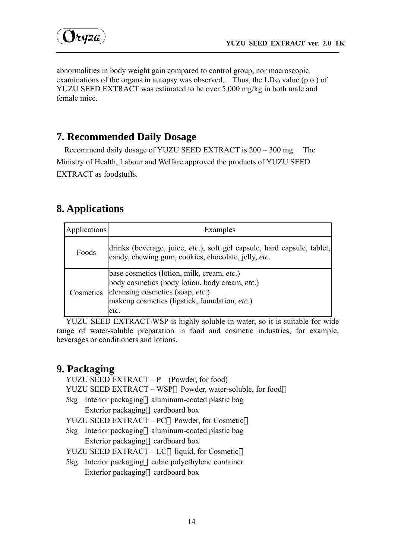

abnormalities in body weight gain compared to control group, nor macroscopic examinations of the organs in autopsy was observed. Thus, the  $LD_{50}$  value (p.o.) of YUZU SEED EXTRACT was estimated to be over 5,000 mg/kg in both male and female mice.

# **7. Recommended Daily Dosage**

Recommend daily dosage of YUZU SEED EXTRACT is 200 – 300 mg. The Ministry of Health, Labour and Welfare approved the products of YUZU SEED EXTRACT as foodstuffs.

# **8. Applications**

| Applications | Examples                                                                                                                                                                                  |
|--------------|-------------------------------------------------------------------------------------------------------------------------------------------------------------------------------------------|
| Foods        | drinks (beverage, juice, etc.), soft gel capsule, hard capsule, tablet,<br>candy, chewing gum, cookies, chocolate, jelly, etc.                                                            |
| Cosmetics    | base cosmetics (lotion, milk, cream, etc.)<br>body cosmetics (body lotion, body cream, etc.)<br>cleansing cosmetics (soap, etc.)<br>makeup cosmetics (lipstick, foundation, etc.)<br>etc. |

YUZU SEED EXTRACT-WSP is highly soluble in water, so it is suitable for wide range of water-soluble preparation in food and cosmetic industries, for example, beverages or conditioners and lotions.

# **9. Packaging**

|  | YUZU SEED EXTRACT - P (Powder, for food)                |
|--|---------------------------------------------------------|
|  | YUZU SEED EXTRACT - WSP Powder, water-soluble, for food |
|  | 5kg Interior packaging aluminum-coated plastic bag      |
|  | Exterior packaging cardboard box                        |
|  | YUZU SEED EXTRACT – PC Powder, for Cosmetic             |
|  | 5kg Interior packaging aluminum-coated plastic bag      |
|  | Exterior packaging cardboard box                        |
|  | YUZU SEED EXTRACT - LC liquid, for Cosmetic             |
|  | 5kg Interior packaging cubic polyethylene container     |
|  | Exterior packaging cardboard box                        |
|  |                                                         |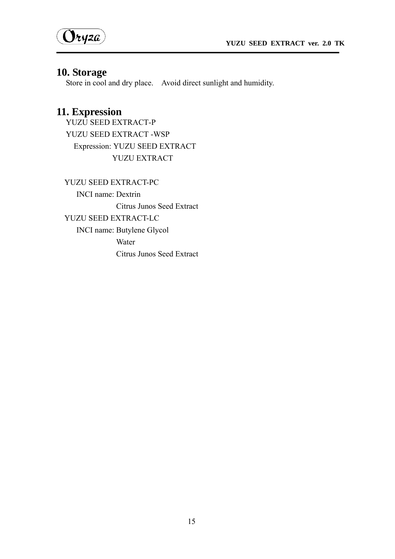



# **10. Storage**

Store in cool and dry place. Avoid direct sunlight and humidity.

# **11. Expression**

YUZU SEED EXTRACT-P YUZU SEED EXTRACT -WSP Expression: YUZU SEED EXTRACT YUZU EXTRACT

YUZU SEED EXTRACT-PC INCI name: Dextrin Citrus Junos Seed Extract YUZU SEED EXTRACT-LC INCI name: Butylene Glycol Water Citrus Junos Seed Extract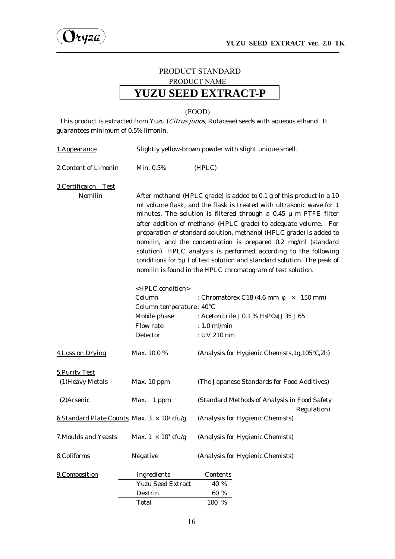

## PRODUCT STANDARD PRODUCT NAME **YUZU SEED EXTRACT-P**

#### (FOOD)

This product is extracted from Yuzu (*Citrus junos*, Rutaceae) seeds with aqueous ethanol. It guarantees minimum of 0.5% limonin.

| 1.Appearance                                        | Slightly yellow-brown powder with slight unique smell.                                                                                                                                                                                                                                                                                                                                                                                                                                                                                                                                                                                              |                                                                                                                                                       |  |
|-----------------------------------------------------|-----------------------------------------------------------------------------------------------------------------------------------------------------------------------------------------------------------------------------------------------------------------------------------------------------------------------------------------------------------------------------------------------------------------------------------------------------------------------------------------------------------------------------------------------------------------------------------------------------------------------------------------------------|-------------------------------------------------------------------------------------------------------------------------------------------------------|--|
| 2. Content of Limonin                               | Min. 0.5%                                                                                                                                                                                                                                                                                                                                                                                                                                                                                                                                                                                                                                           | (HPLC)                                                                                                                                                |  |
| 3. Certificaion Test<br>Nomilin                     | After methanol (HPLC grade) is added to 0.1 g of this product in a 10<br>ml volume flask, and the flask is treated with ultrasonic wave for 1<br>minutes. The solution is filtered through a 0.45 $\mu$ m PTFE filter<br>after addition of methanol (HPLC grade) to adequate volume. For<br>preparation of standard solution, methanol (HPLC grade) is added to<br>nomilin, and the concentration is prepared 0.2 mg/ml (standard<br>solution). HPLC analysis is performed according to the following<br>conditions for $5\mu$ l of test solution and standard solution. The peak of<br>nomilin is found in the HPLC chromatogram of test solution. |                                                                                                                                                       |  |
|                                                     | <hplc condition=""><br/>Column<br/>Column temperature: 40<br/>Mobile phase<br/>Flow rate<br/>Detector</hplc>                                                                                                                                                                                                                                                                                                                                                                                                                                                                                                                                        | : Chromatorex C18 (4.6 mm<br>$150$ mm $)$<br>$\times$<br>: Acetonitrile $0.1\%$ H <sub>3</sub> PO <sub>4</sub> 35 65<br>$: 1.0$ ml/min<br>: UV 210 nm |  |
| 4. Loss on Drying                                   | Max. 10.0 %                                                                                                                                                                                                                                                                                                                                                                                                                                                                                                                                                                                                                                         | (Analysis for Hygienic Chemists, 1g, 105)<br>,2h)                                                                                                     |  |
| 5. Purity Test<br>(1) Heavy Metals                  | Max. 10 ppm                                                                                                                                                                                                                                                                                                                                                                                                                                                                                                                                                                                                                                         | (The Japanese Standards for Food Additives)                                                                                                           |  |
| (2)Arsenic                                          | Max.<br>1 ppm                                                                                                                                                                                                                                                                                                                                                                                                                                                                                                                                                                                                                                       | (Standard Methods of Analysis in Food Safety<br>Regulation)                                                                                           |  |
| 6. Standard Plate Counts Max. $3 \times 10^3$ cfu/g |                                                                                                                                                                                                                                                                                                                                                                                                                                                                                                                                                                                                                                                     | (Analysis for Hygienic Chemists)                                                                                                                      |  |
| <b>7. Moulds and Yeasts</b>                         | Max. $1 \times 10^3$ cfu/g                                                                                                                                                                                                                                                                                                                                                                                                                                                                                                                                                                                                                          | (Analysis for Hygienic Chemists)                                                                                                                      |  |
| 8.Coliforms                                         | Negative                                                                                                                                                                                                                                                                                                                                                                                                                                                                                                                                                                                                                                            | (Analysis for Hygienic Chemists)                                                                                                                      |  |
| 9.Composition                                       | Ingredients<br><b>Yuzu Seed Extract</b><br>Dextrin<br>Total                                                                                                                                                                                                                                                                                                                                                                                                                                                                                                                                                                                         | Contents<br>40 %<br>60 %<br>100 %                                                                                                                     |  |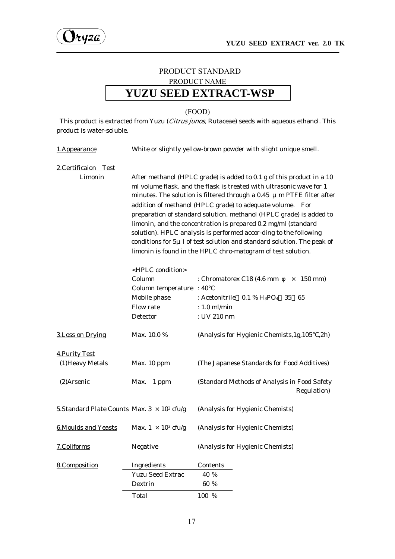# PRODUCT STANDARD PRODUCT NAME **YUZU SEED EXTRACT-WSP**

#### (FOOD)

This product is extracted from Yuzu (Citrus junos, Rutaceae) seeds with aqueous ethanol. This product is water-soluble.

| 1.Appearance                                        | White or slightly yellow-brown powder with slight unique smell.                                                                                                                                                                                                                                                                                                                                                                                                                                                                                                                                                                                                                                                                  |                                                                                    |  |
|-----------------------------------------------------|----------------------------------------------------------------------------------------------------------------------------------------------------------------------------------------------------------------------------------------------------------------------------------------------------------------------------------------------------------------------------------------------------------------------------------------------------------------------------------------------------------------------------------------------------------------------------------------------------------------------------------------------------------------------------------------------------------------------------------|------------------------------------------------------------------------------------|--|
| 2. Certificaion Test<br>Limonin                     |                                                                                                                                                                                                                                                                                                                                                                                                                                                                                                                                                                                                                                                                                                                                  | After methanol (HPLC grade) is added to 0.1 g of this product in a 10              |  |
|                                                     | ml volume flask, and the flask is treated with ultrasonic wave for 1<br>minutes. The solution is filtered through a 0.45 $\mu$ m PTFE filter after<br>addition of methanol (HPLC grade) to adequate volume. For<br>preparation of standard solution, methanol (HPLC grade) is added to<br>limonin, and the concentration is prepared 0.2 mg/ml (standard<br>solution). HPLC analysis is performed accor-ding to the following<br>conditions for $5\mu$ l of test solution and standard solution. The peak of<br>limonin is found in the HPLC chro-matogram of test solution.<br><hplc condition=""><br/>Column<br/>: Chromatorex C18 (4.6 mm<br/><math>150</math> mm)<br/><math>\times</math><br/>Column temperature : 40</hplc> |                                                                                    |  |
|                                                     | Mobile phase<br>Flow rate                                                                                                                                                                                                                                                                                                                                                                                                                                                                                                                                                                                                                                                                                                        | : Acetonitrile $0.1\%$ H <sub>3</sub> PO <sub>4</sub> 35<br>- 65<br>$: 1.0$ ml/min |  |
|                                                     | Detector                                                                                                                                                                                                                                                                                                                                                                                                                                                                                                                                                                                                                                                                                                                         | : UV 210 nm                                                                        |  |
| 3. Loss on Drying                                   | Max. 10.0 %                                                                                                                                                                                                                                                                                                                                                                                                                                                                                                                                                                                                                                                                                                                      | (Analysis for Hygienic Chemists, 1g, 105<br>,2h)                                   |  |
| <b>4. Purity Test</b>                               |                                                                                                                                                                                                                                                                                                                                                                                                                                                                                                                                                                                                                                                                                                                                  |                                                                                    |  |
| (1) Heavy Metals                                    | Max. 10 ppm                                                                                                                                                                                                                                                                                                                                                                                                                                                                                                                                                                                                                                                                                                                      | (The Japanese Standards for Food Additives)                                        |  |
| (2)Arsenic                                          | Max.<br>1 ppm                                                                                                                                                                                                                                                                                                                                                                                                                                                                                                                                                                                                                                                                                                                    | (Standard Methods of Analysis in Food Safety<br>Regulation)                        |  |
| 5. Standard Plate Counts Max. $3 \times 10^3$ cfu/g |                                                                                                                                                                                                                                                                                                                                                                                                                                                                                                                                                                                                                                                                                                                                  | (Analysis for Hygienic Chemists)                                                   |  |
| <b>6.Moulds and Yeasts</b>                          | Max. $1 \times 10^3$ cfu/g                                                                                                                                                                                                                                                                                                                                                                                                                                                                                                                                                                                                                                                                                                       | (Analysis for Hygienic Chemists)                                                   |  |
| 7.Coliforms                                         | Negative                                                                                                                                                                                                                                                                                                                                                                                                                                                                                                                                                                                                                                                                                                                         | (Analysis for Hygienic Chemists)                                                   |  |
| 8.Composition                                       | Ingredients                                                                                                                                                                                                                                                                                                                                                                                                                                                                                                                                                                                                                                                                                                                      | Contents                                                                           |  |
|                                                     | <b>Yuzu Seed Extrac</b>                                                                                                                                                                                                                                                                                                                                                                                                                                                                                                                                                                                                                                                                                                          | 40 %                                                                               |  |
|                                                     | Dextrin                                                                                                                                                                                                                                                                                                                                                                                                                                                                                                                                                                                                                                                                                                                          | 60 %                                                                               |  |
|                                                     | Total                                                                                                                                                                                                                                                                                                                                                                                                                                                                                                                                                                                                                                                                                                                            | 100 %                                                                              |  |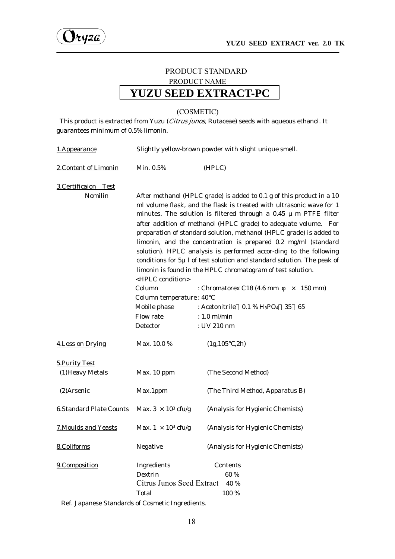

## PRODUCT STANDARD PRODUCT NAME **YUZU SEED EXTRACT-PC**

#### (COSMETIC)

This product is extracted from Yuzu (*Citrus junos*, Rutaceae) seeds with aqueous ethanol. It guarantees minimum of 0.5% limonin.

| 1.Appearance                       | Slightly yellow-brown powder with slight unique smell.                                                                                                                                                                                                                                                                                                                                                                                                                                                                                                                                |                                                                |  |
|------------------------------------|---------------------------------------------------------------------------------------------------------------------------------------------------------------------------------------------------------------------------------------------------------------------------------------------------------------------------------------------------------------------------------------------------------------------------------------------------------------------------------------------------------------------------------------------------------------------------------------|----------------------------------------------------------------|--|
| 2. Content of Limonin              | Min. 0.5%                                                                                                                                                                                                                                                                                                                                                                                                                                                                                                                                                                             | (HPLC)                                                         |  |
| 3.Certificaion Test<br>Nomilin     | After methanol (HPLC grade) is added to 0.1 g of this product in a 10<br>ml volume flask, and the flask is treated with ultrasonic wave for 1<br>minutes. The solution is filtered through a 0.45 $\mu$ m PTFE filter<br>after addition of methanol (HPLC grade) to adequate volume. For<br>preparation of standard solution, methanol (HPLC grade) is added to<br>limonin, and the concentration is prepared 0.2 mg/ml (standard<br>solution). HPLC analysis is performed accor-ding to the following<br>conditions for $5\mu$ l of test solution and standard solution. The peak of |                                                                |  |
|                                    | <hplc condition=""></hplc>                                                                                                                                                                                                                                                                                                                                                                                                                                                                                                                                                            | limonin is found in the HPLC chromatogram of test solution.    |  |
|                                    | Column                                                                                                                                                                                                                                                                                                                                                                                                                                                                                                                                                                                | : Chromatorex C18 (4.6 mm<br>$150 \text{ mm}$<br>$\times$      |  |
|                                    | Column temperature: 40                                                                                                                                                                                                                                                                                                                                                                                                                                                                                                                                                                |                                                                |  |
|                                    | Mobile phase                                                                                                                                                                                                                                                                                                                                                                                                                                                                                                                                                                          | : Acetonitrile $0.1\%$ H <sub>3</sub> PO <sub>4</sub> 35<br>65 |  |
|                                    | Flow rate                                                                                                                                                                                                                                                                                                                                                                                                                                                                                                                                                                             | $: 1.0$ ml/min                                                 |  |
|                                    | Detector                                                                                                                                                                                                                                                                                                                                                                                                                                                                                                                                                                              | : UV 210 nm                                                    |  |
| 4. Loss on Drying                  | Max. 10.0 %                                                                                                                                                                                                                                                                                                                                                                                                                                                                                                                                                                           | (1g, 105, 2h)                                                  |  |
| 5. Purity Test<br>(1) Heavy Metals | Max. 10 ppm                                                                                                                                                                                                                                                                                                                                                                                                                                                                                                                                                                           | (The Second Method)                                            |  |
| (2)Arsenic                         | Max.1ppm                                                                                                                                                                                                                                                                                                                                                                                                                                                                                                                                                                              | (The Third Method, Apparatus B)                                |  |
| <b>6.Standard Plate Counts</b>     | Max. $3 \times 10^3$ cfu/g                                                                                                                                                                                                                                                                                                                                                                                                                                                                                                                                                            | (Analysis for Hygienic Chemists)                               |  |
| <b>7. Moulds and Yeasts</b>        | Max. $1 \times 10^3$ cfu/g                                                                                                                                                                                                                                                                                                                                                                                                                                                                                                                                                            | (Analysis for Hygienic Chemists)                               |  |
| 8.Coliforms                        | Negative                                                                                                                                                                                                                                                                                                                                                                                                                                                                                                                                                                              | (Analysis for Hygienic Chemists)                               |  |
| 9.Composition                      | Ingredients                                                                                                                                                                                                                                                                                                                                                                                                                                                                                                                                                                           | Contents                                                       |  |
|                                    | Dextrin                                                                                                                                                                                                                                                                                                                                                                                                                                                                                                                                                                               | 60 %                                                           |  |
| Citrus Junos Seed Extract<br>40 %  |                                                                                                                                                                                                                                                                                                                                                                                                                                                                                                                                                                                       |                                                                |  |
|                                    | Total                                                                                                                                                                                                                                                                                                                                                                                                                                                                                                                                                                                 | 100 %                                                          |  |

Ref. Japanese Standards of Cosmetic Ingredients.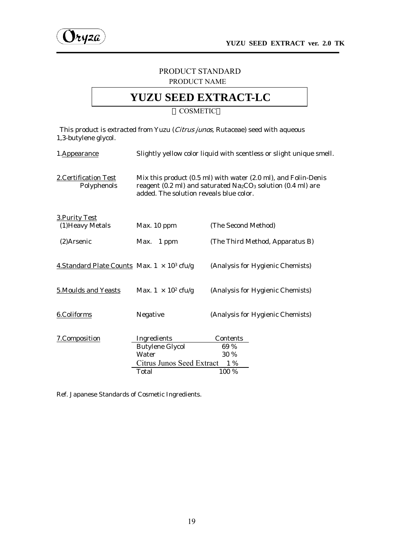

#### PRODUCT STANDARD PRODUCT NAME

# **YUZU SEED EXTRACT-LC**

**COSMETIC** 

This product is extracted from Yuzu (Citrus junos, Rutaceae) seed with aqueous 1,3-butylene glycol.

| 1.Appearance                                        | Slightly yellow color liquid with scentless or slight unique smell.                                                                                                                               |                                  |  |
|-----------------------------------------------------|---------------------------------------------------------------------------------------------------------------------------------------------------------------------------------------------------|----------------------------------|--|
| 2. Certification Test<br>Polyphenols                | Mix this product (0.5 ml) with water (2.0 ml), and Folin-Denis<br>reagent (0.2 ml) and saturated Na <sub>2</sub> CO <sub>3</sub> solution (0.4 ml) are<br>added. The solution reveals blue color. |                                  |  |
| <b>3. Purity Test</b><br>(1) Heavy Metals           | Max. 10 ppm                                                                                                                                                                                       | (The Second Method)              |  |
| $(2)$ Arsenic                                       | Max. 1 ppm                                                                                                                                                                                        | (The Third Method, Apparatus B)  |  |
| 4. Standard Plate Counts Max. $1 \times 10^3$ cfu/g |                                                                                                                                                                                                   | (Analysis for Hygienic Chemists) |  |
| 5. Moulds and Yeasts                                | Max. $1 \times 10^2$ cfu/g                                                                                                                                                                        | (Analysis for Hygienic Chemists) |  |
| 6.Coliforms                                         | Negative                                                                                                                                                                                          | (Analysis for Hygienic Chemists) |  |
| 7.Composition                                       | Ingredients<br><b>Butylene Glycol</b><br>Water                                                                                                                                                    | Contents<br>69 %<br>30 %         |  |
|                                                     | Citrus Junos Seed Extract<br>1 %                                                                                                                                                                  |                                  |  |
|                                                     | Total                                                                                                                                                                                             | 100 %                            |  |

Ref. Japanese Standards of Cosmetic Ingredients.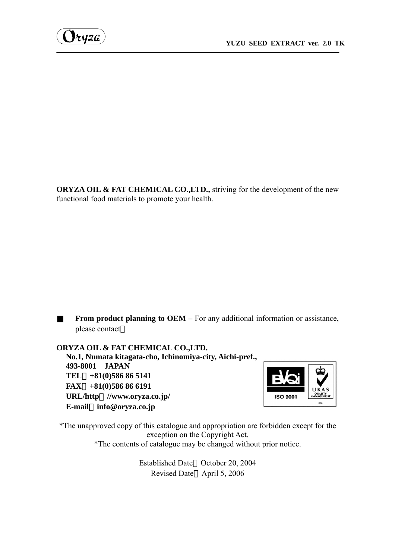**ORYZA OIL & FAT CHEMICAL CO.,LTD.,** striving for the development of the new functional food materials to promote your health.

**From product planning to OEM** – For any additional information or assistance, please contact

**ORYZA OIL & FAT CHEMICAL CO.,LTD. No.1, Numata kitagata-cho, Ichinomiya-city, Aichi-pref., 493-8001 JAPAN TEL**:**+81(0)586 86 5141 FAX**:**+81(0)586 86 6191 URL/http**:**//www.oryza.co.jp/ E-mail**:**info@oryza.co.jp**



\*The unapproved copy of this catalogue and appropriation are forbidden except for the exception on the Copyright Act. \*The contents of catalogue may be changed without prior notice.

> Established Date October 20, 2004 Revised Date April 5, 2006